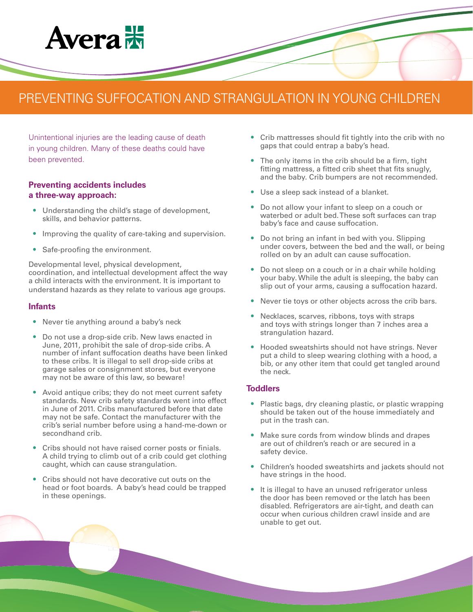# **Avera**<sub>25</sub>

# PREVENTING SUFFOCATION AND STRANGULATION IN YOUNG CHILDREN

Unintentional injuries are the leading cause of death in young children. Many of these deaths could have been prevented.

## **Preventing accidents includes a three-way approach:**

- **•** Understanding the child's stage of development, skills, and behavior patterns.
- **•** Improving the quality of care-taking and supervision.
- **•** Safe-proofing the environment.

Developmental level, physical development, coordination, and intellectual development affect the way a child interacts with the environment. It is important to understand hazards as they relate to various age groups.

#### **Infants**

- **•** Never tie anything around a baby's neck
- **•** Do not use a drop-side crib. New laws enacted in June, 2011, prohibit the sale of drop-side cribs. A number of infant suffocation deaths have been linked to these cribs. It is illegal to sell drop-side cribs at garage sales or consignment stores, but everyone may not be aware of this law, so beware!
- **•** Avoid antique cribs; they do not meet current safety standards. New crib safety standards went into effect in June of 2011. Cribs manufactured before that date may not be safe. Contact the manufacturer with the crib's serial number before using a hand-me-down or secondhand crib.
- **•** Cribs should not have raised corner posts or finials. A child trying to climb out of a crib could get clothing caught, which can cause strangulation.
- **•** Cribs should not have decorative cut outs on the head or foot boards. A baby's head could be trapped in these openings.
- **•** Crib mattresses should fit tightly into the crib with no gaps that could entrap a baby's head.
- **•** The only items in the crib should be a firm, tight fitting mattress, a fitted crib sheet that fits snugly, and the baby. Crib bumpers are not recommended.
- **•** Use a sleep sack instead of a blanket.
- **•** Do not allow your infant to sleep on a couch or waterbed or adult bed. These soft surfaces can trap baby's face and cause suffocation.
- **•** Do not bring an infant in bed with you. Slipping under covers, between the bed and the wall, or being rolled on by an adult can cause suffocation.
- **•** Do not sleep on a couch or in a chair while holding your baby. While the adult is sleeping, the baby can slip out of your arms, causing a suffocation hazard.
- **•** Never tie toys or other objects across the crib bars.
- **•** Necklaces, scarves, ribbons, toys with straps and toys with strings longer than 7 inches area a strangulation hazard.
- **•** Hooded sweatshirts should not have strings. Never put a child to sleep wearing clothing with a hood, a bib, or any other item that could get tangled around the neck.

#### **Toddlers**

- **•** Plastic bags, dry cleaning plastic, or plastic wrapping should be taken out of the house immediately and put in the trash can.
- **•** Make sure cords from window blinds and drapes are out of children's reach or are secured in a safety device.
- **•** Children's hooded sweatshirts and jackets should not have strings in the hood.
- **•** It is illegal to have an unused refrigerator unless the door has been removed or the latch has been disabled. Refrigerators are air-tight, and death can occur when curious children crawl inside and are unable to get out.